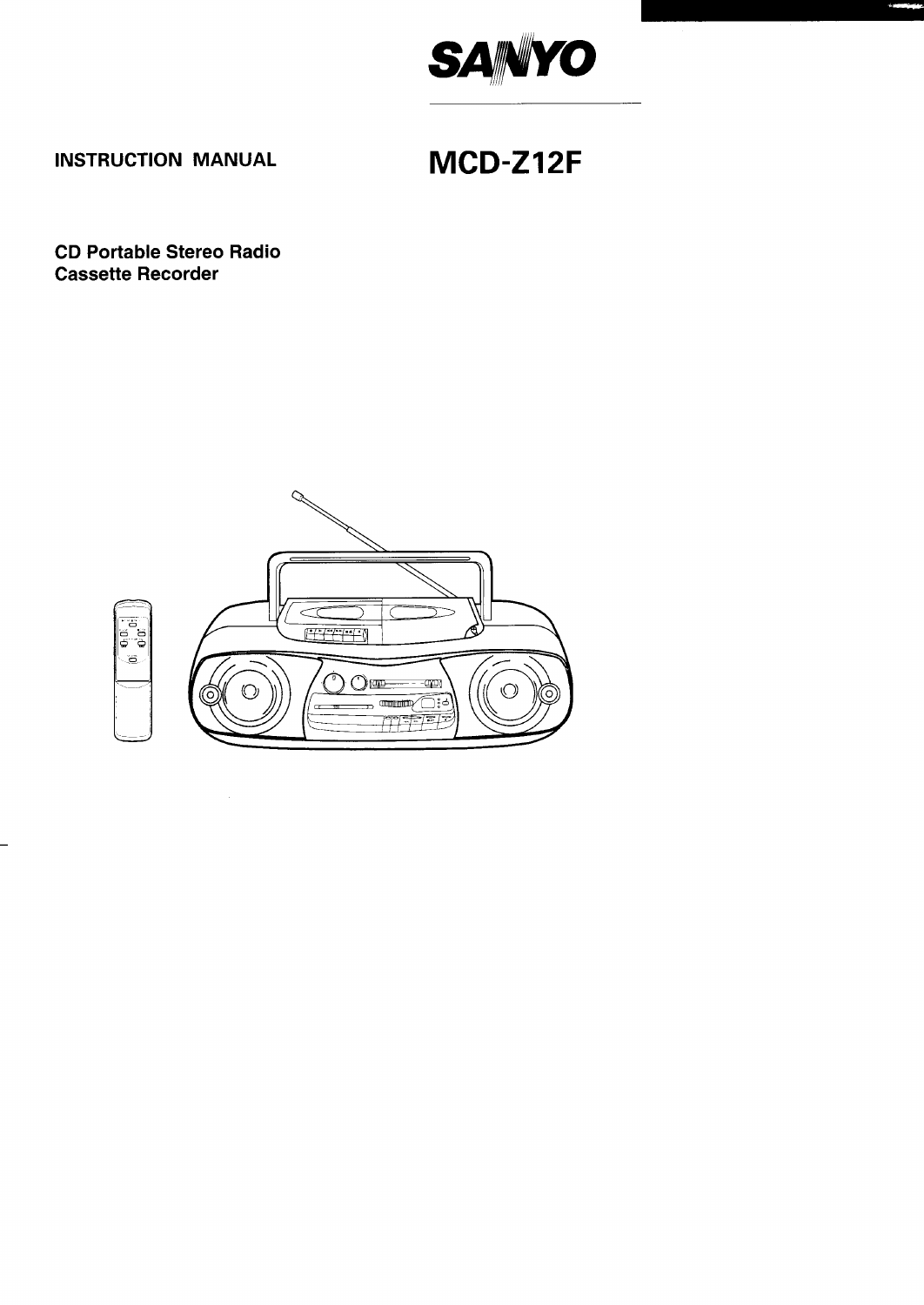

# **INSTRUCTION MANUAL**

# MCD-Z12F

## **CD Portable Stereo Radio Cassette Recorder**

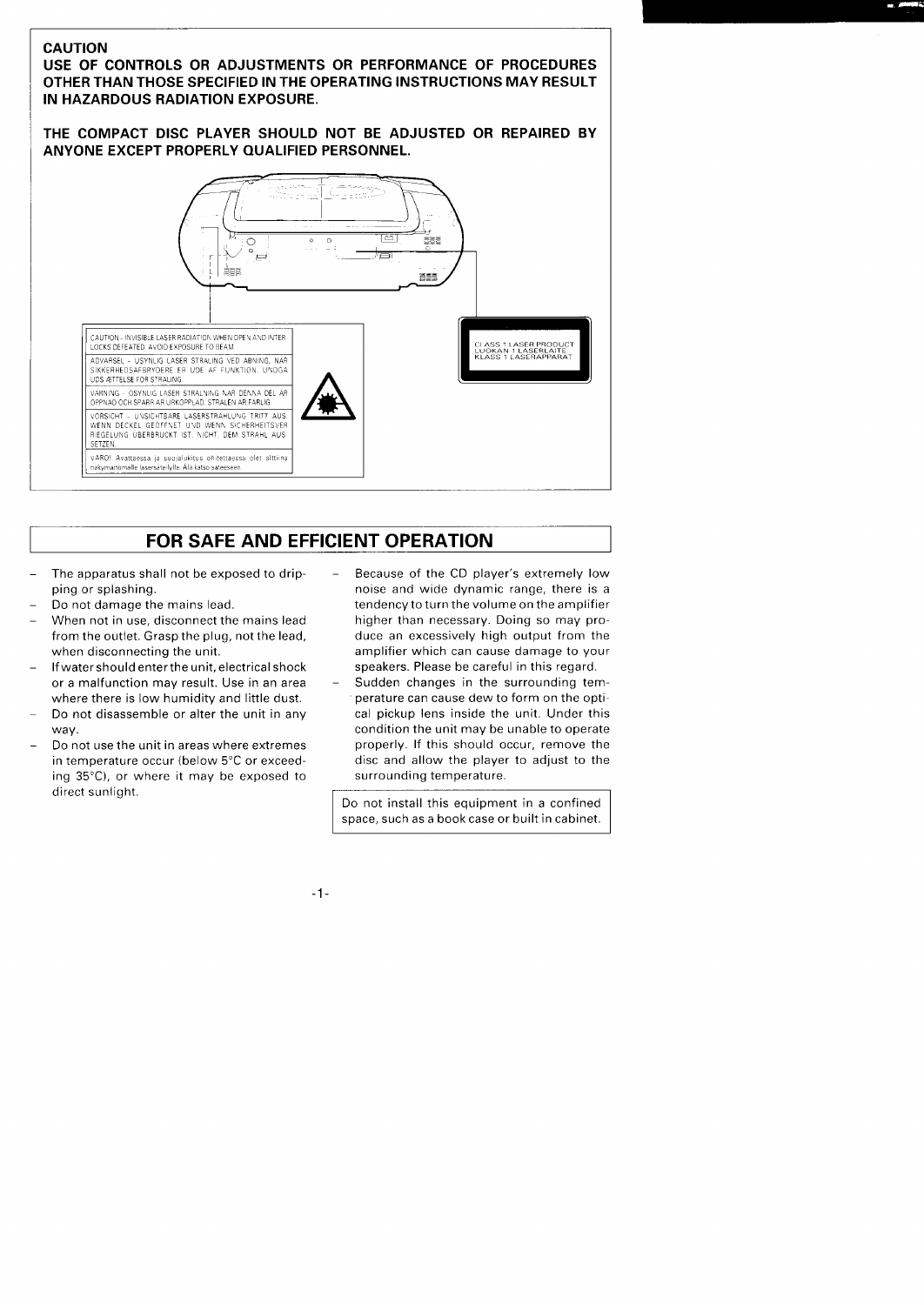## **CAUTION**

**USE OF CONTROLS OR ADJUSTMENTS OR PERFORMANCE OF PROCEDURES OTHER THAN THOSE SPECIFIED IN THE OPERATING INSTRUCTIONS MAY RESULT IN HAZARDOUS RADIATION EXPOSURE.**

**THE COMPACT DISC PLAYER SHOULD NOT BE ADJUSTED OR REPAIRED BY ANYONE EXCEPT PROPERLY QUALIFIED PERSONNEL.**



# **FOR SAFE AND EFFICIENT OPERATION**

- The apparatus shall not be exposed to dripping or splashing.
- Do not damage the mains lead.

I

- When not in use, disconnect the mains lead from the outlet. Grasp the plug, not the lead, when disconnecting the unit,
- If water should enter the unit, electrical shock or a malfunction may result. Use in an area where there is low humidity and little dust.
- Do not disassemble or alter the unit in any way.
- Do not use the unit in areas where extremes in temperature occur (below 5°C or exceeding 35°C), or where it may be exposed to direct sunlight.
- Because of the CD player's extremely low noise and wide dynamic range, there is a tendency to turn the volume on the amplifier higher than necessary. Doing so may produce an excessively high output from the amplifier which can cause damage to your speakers, Please be careful in this regard.
- Sudden changes in the surrounding temperature can cause dew to form on the optical pickup lens inside the unit. Under this condition the unit may be unable to operate properly. If this should occur, remove the disc and allow the player to adjust to the surrounding temperature.

Do not install this equipment in a confined space, such as a bookcase or built in cabinet.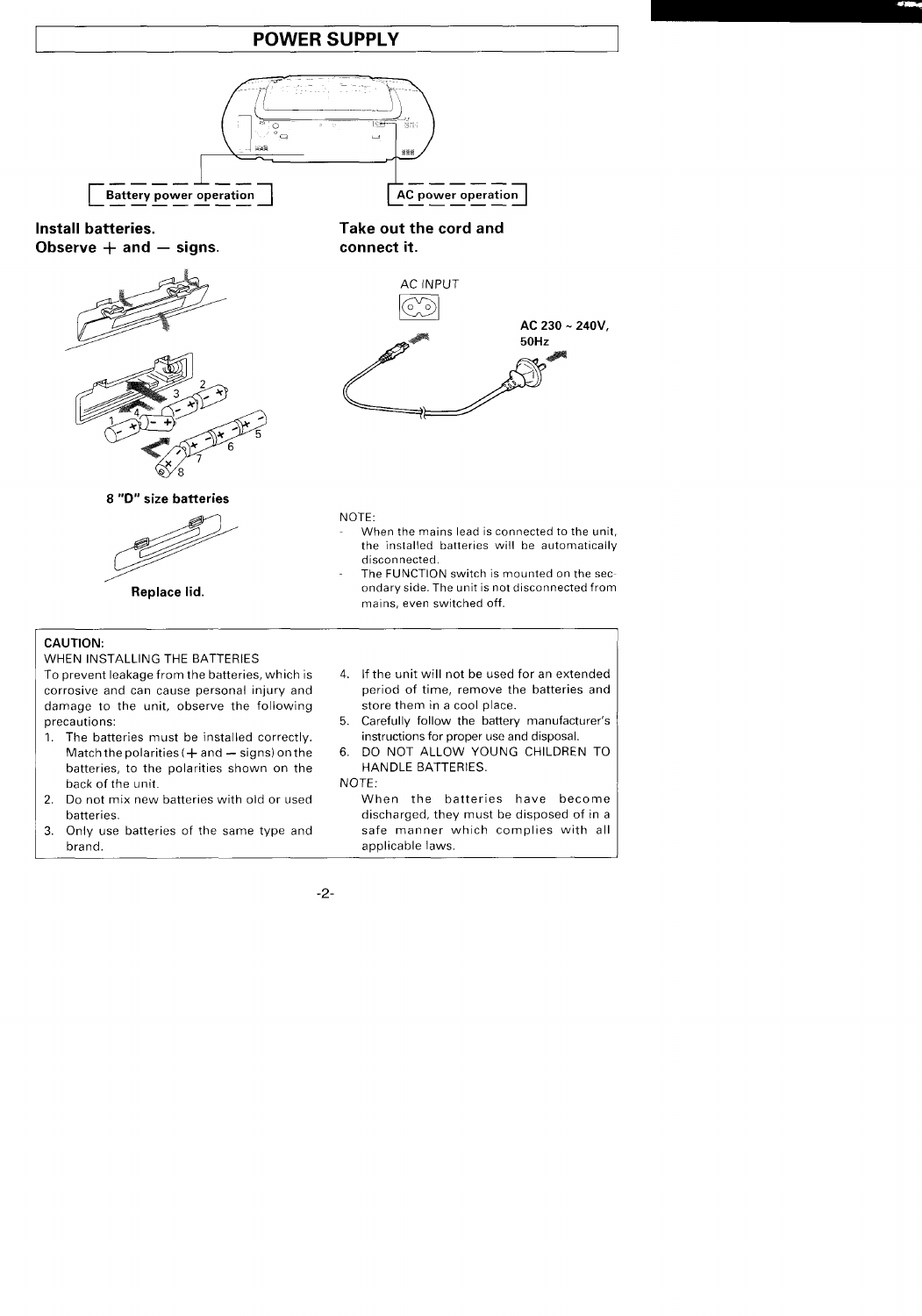## **POWER SUPPLY**



**Observe + and – signs. connect it.**



### 8 **"D" size batteries**



**Replace lid.**

# **Install batteries. Take out the cord and**



### NOTE:

- When the mains lead is connected to the unit. the installed batteries will be automatically disconnected.
- The FUNCTION switch is mounted on the secondary side. The unit is not disconnected from mains. even switched off.

## **CAUTION:**

### WHEN INSTALLING THE BATTERIES

To prevent leakage from the batteries, which is corrosive and can cause personal injury and damage to the unit, observe the following precautions:

- 1. The batteries must be installed correctly. Match the polarities  $(+)$  and  $-$  signs) on the batteries, to the polarities shown on the back of the unit.
- 2. Do not mix new batteries with old or used batteries.
- 3. Only use batteries of the same type and brand.
- 4. If the unit will not be used for an extended period of time, remove the batteries and store them in a cool place.
- 5. Carefully follow the battery manufacturer's instructions for proper use and disposal,
- 6. DO NOT ALLOW YOUNG CHILDREN TO HANDLE BATTERIES.

NOTE:

When the batteries have become discharged, they must be disposed of in a safe manner which complies with all applicable laws.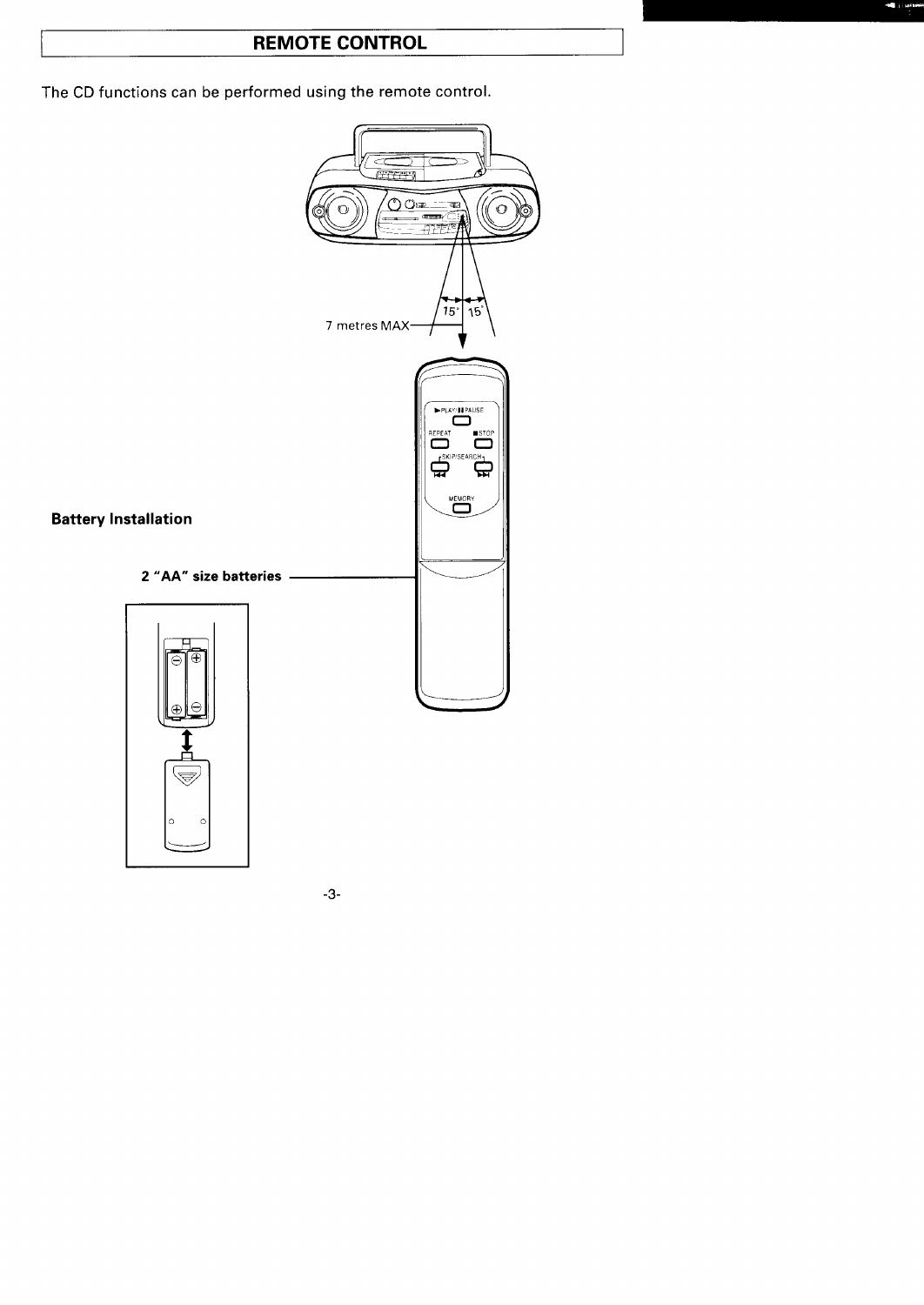## **REMOTE CONTROL**

The CD functions can be performed using the remote control.

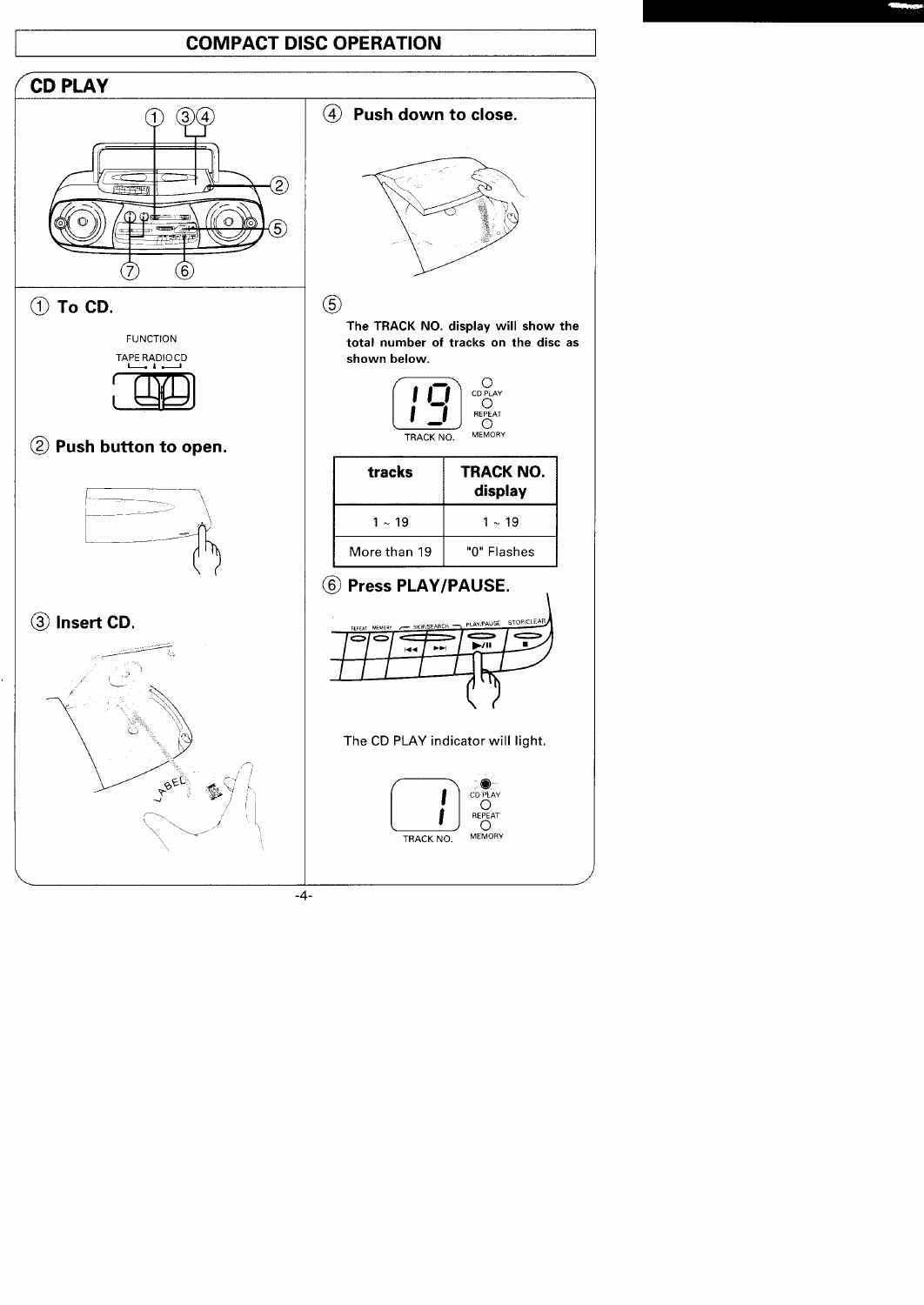## **COMPACT DISC OPERATION**

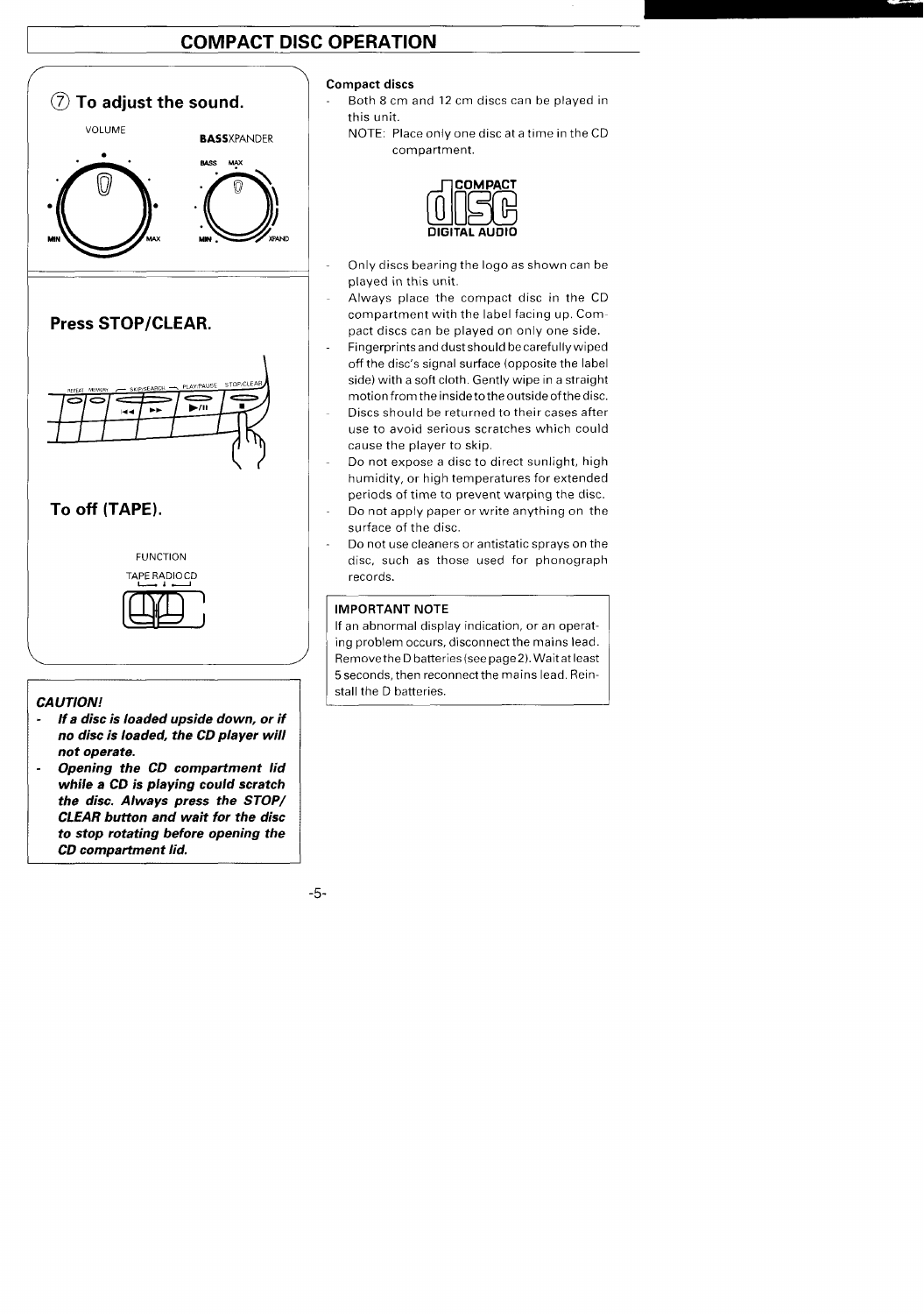# **COMPACT DISC OPERATION**



- *no disc is loaded, the CD pla yer will not operate.*
- *- Opening the CD compartment lid while* **a CD is playing** *could* **scratch** *the disc. Always press the STOP/ CLEAR button and wait for the disc to stop rotating before opening the CD compatiment lid.*

## **Compact discs**

- Both 8 cm and 12 cm discs can be played in this unit.
	- NOTE: Place only one disc at a time in the CD compartment.



- Only discs bearing the logo as shown can be played in this unit.
- Always place the compact disc in the CD compartment with the label facing up, Compact discs can be played on only one side.
- Fingerprints and dust should becarefullywiped off the disc's signal surface (opposite the label side) with a soft cloth. Gently wipe in a straight motion from theinsideto theoutside of the disc.
- **Discs** should be returned to their cases after use to avoid serious scratches which could cause the player to skip.
- Do not expose a disc to direct sunlight, high humidity, or high temperatures for extended periods of time to prevent warping the disc.
- Do not apply paper or write anything on the surface of the disc.
- Do not use cleaners or antistatic sprays on the disc, such as those used for phonograph records.

## **IMPORTANT NOTE**

If an abnormal display indication, or an operating problem occurs, disconnect the mains lead. Remove the Dbatteries (see page 2). Wait at least 5seconds, then reconnect the mains lead. Reinstall the D batteries.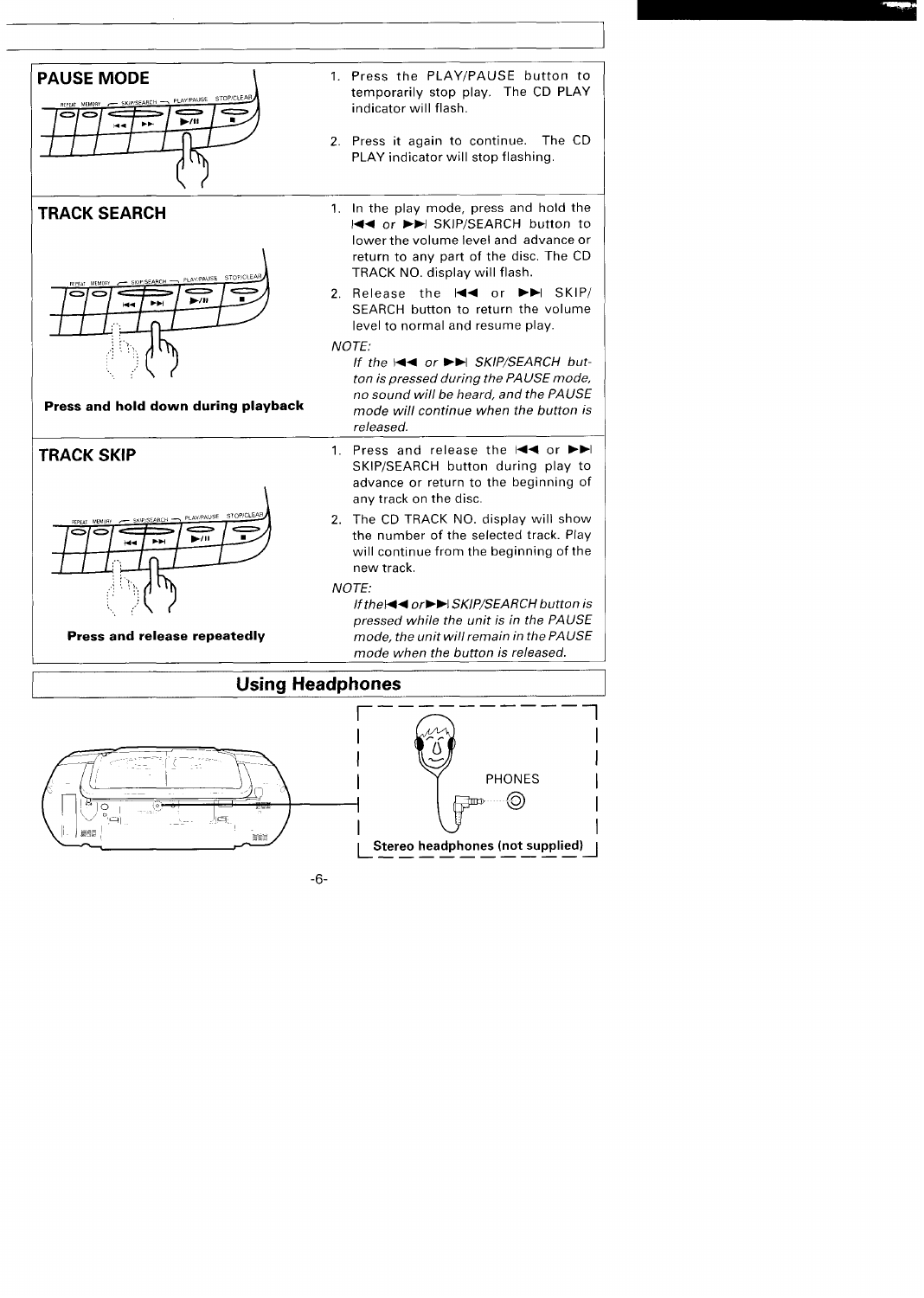



## **Press and hold down during playback**



- **PAUSE MODE** 1. Press the PLAY/PAUSE button to temporarily stop play. The CD PLAY indicator will flash,
	- 2. Press it again to continue. The CD PLAY indicator will stop flashing.
- **IRACK SEARCH** 1. In the play mode, press and hold the H<+ or ►► SKIP/SEARCH button to lower the volume level and advance or return to any part of the disc. The CD TRACK NO. display will flash.
	- 2. Release the  $\blacktriangleleft$  or  $\blacktriangleright$  SKIP/ SEARCH button to return the volume level to normal and resume play.

**,,, .,' If the** l++ **or** ➤**>1 SKIP/SEARCH button is pressed during the PA USE mode, no sound will be heard, and the PAUSE mode will continue when the button is released,**

- **TRACK SKIP** 1. Press and release the l<■ or ►►I SKIP/SEARCH button during play to advance or return to the beginning of any track on the disc.
	- 2. The CD TRACK NO. display will show the number of the selected track. Play will continue from the beginning of the new track.

**,., .." If thel++ or>>l SKIP/SEARCH button is pressed while the unit is in the PAUSE Press and release repeatedly mode, the unit will remain in the PAUSE mode when the button is released.**

**1**



**Using Headphones**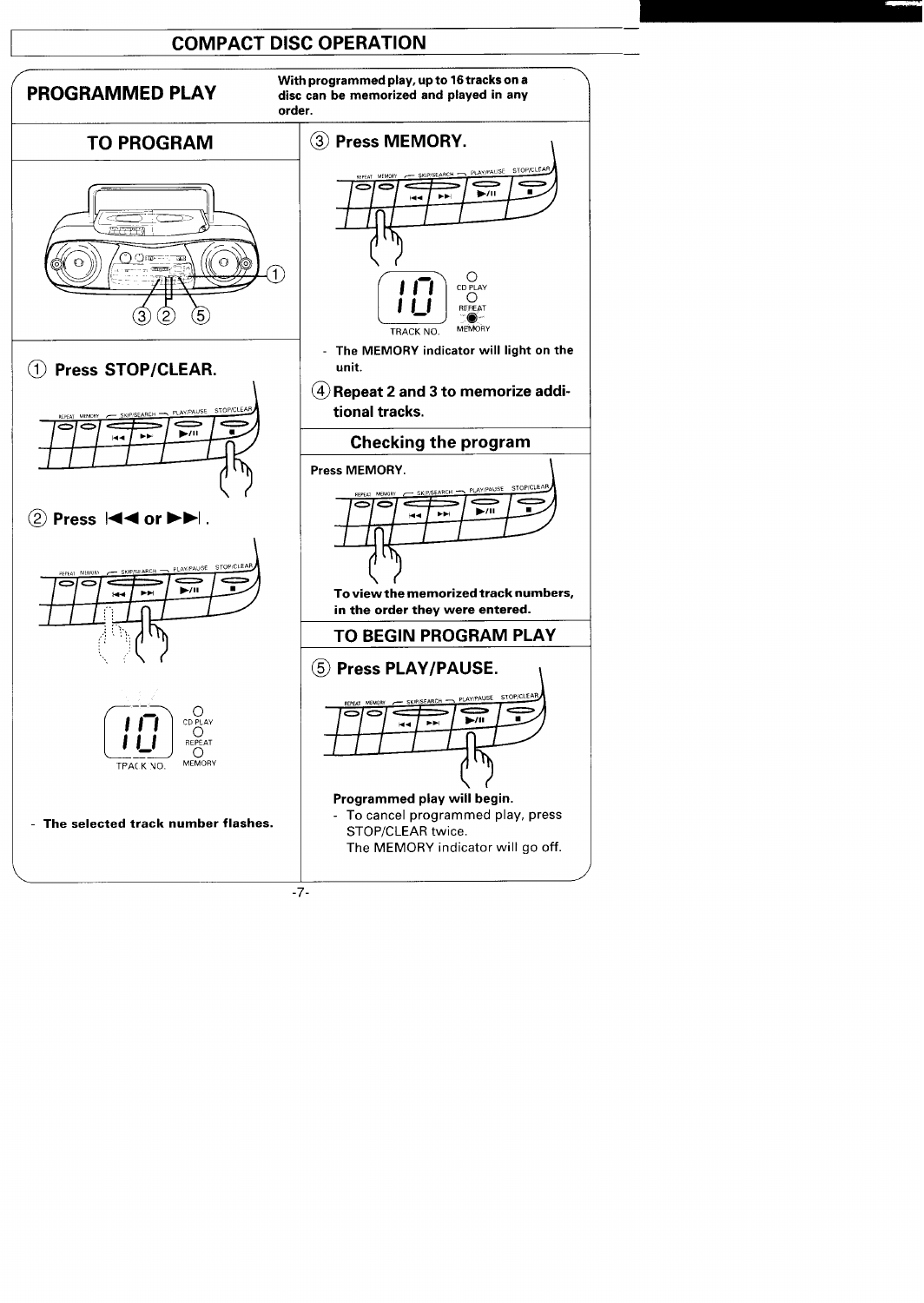## **COMPACT DISC OPERATION —**

## **PROGRAMMED PLAY**

**With programmed play, up to 16tracks on a disc can be memorized and played in any order.**

# **TO PROGRAM**











**The MEMORY indicator will go off.**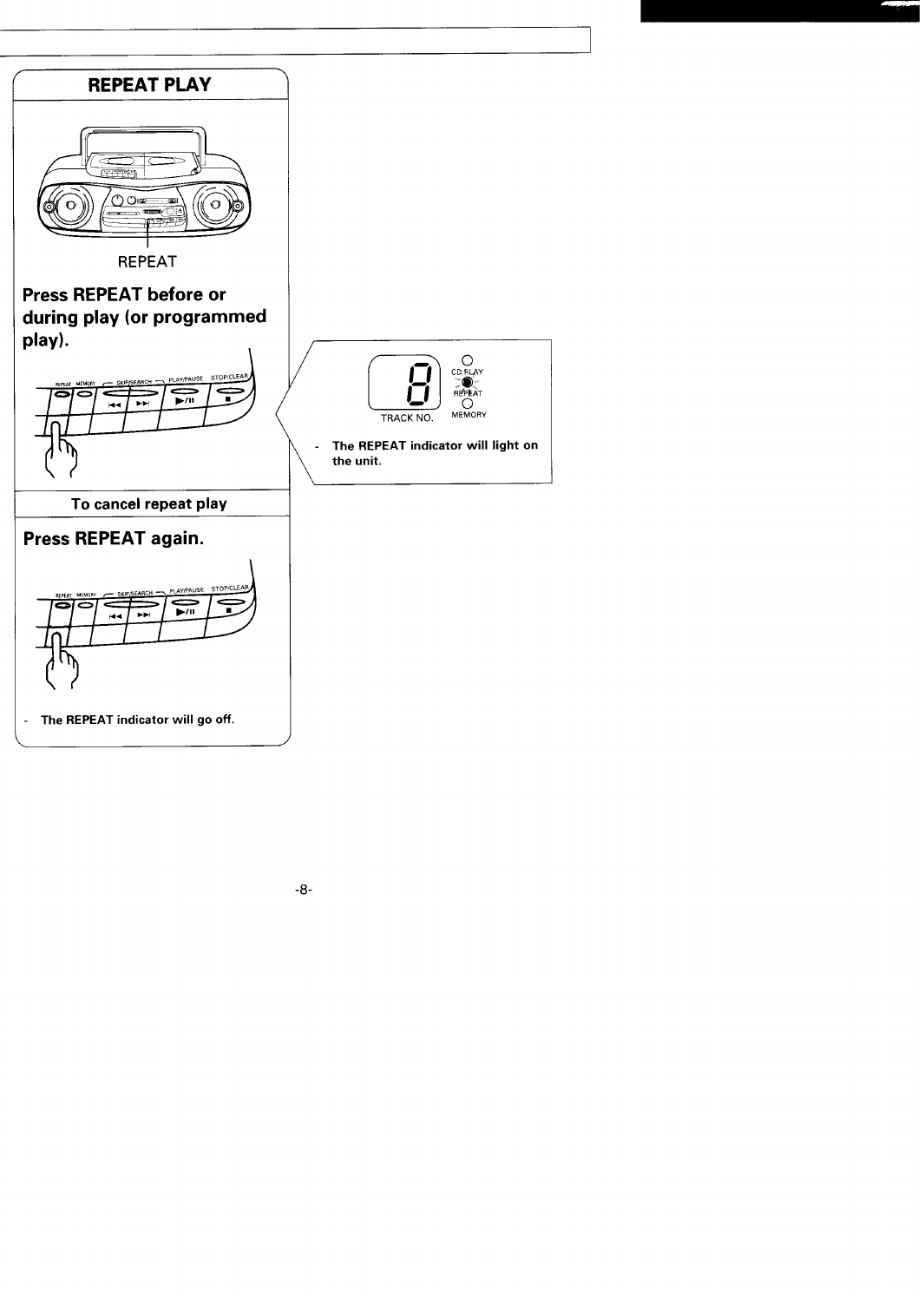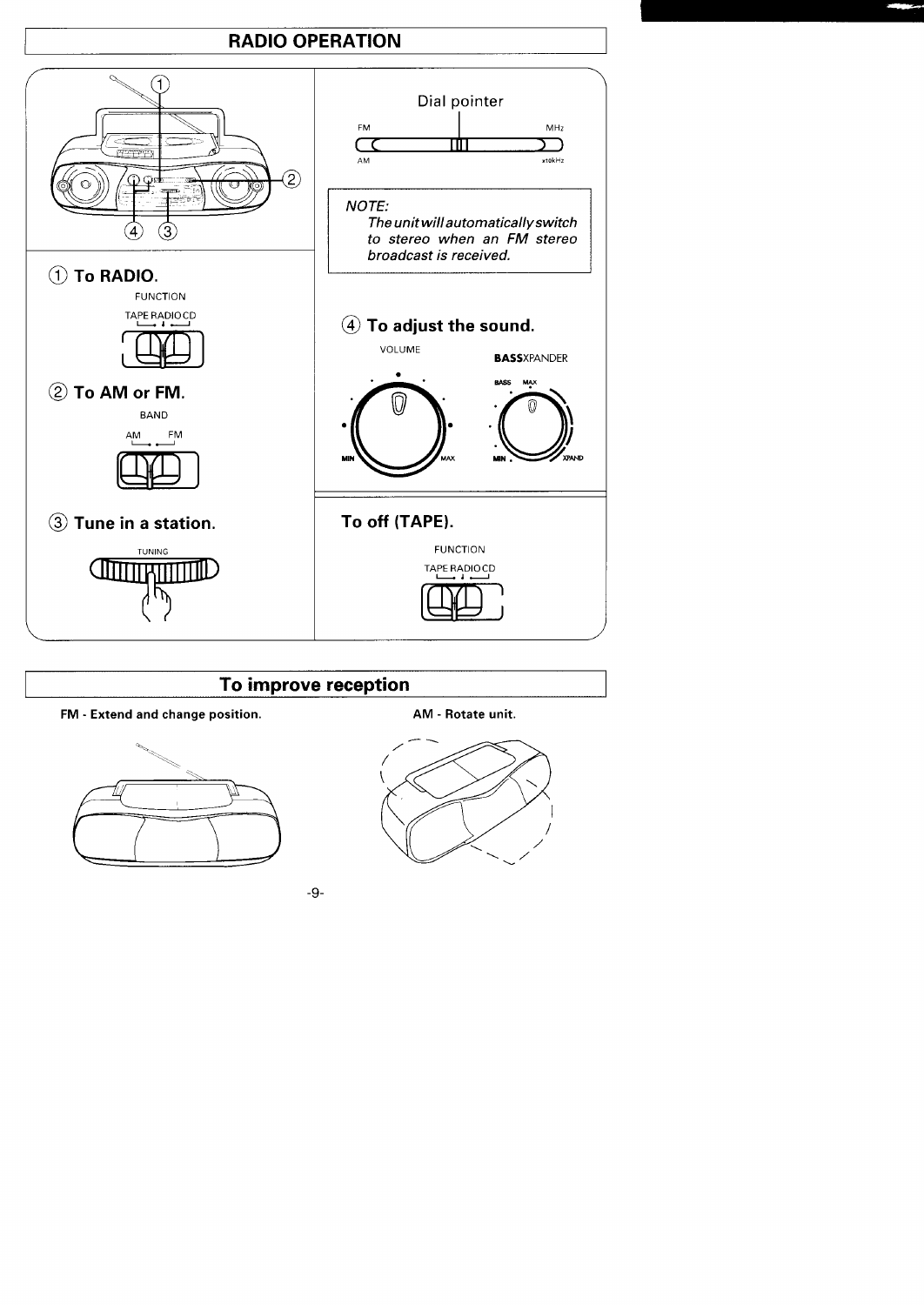## **RADIO OPERATION**



## To improve reception





AM - Rotate unit.

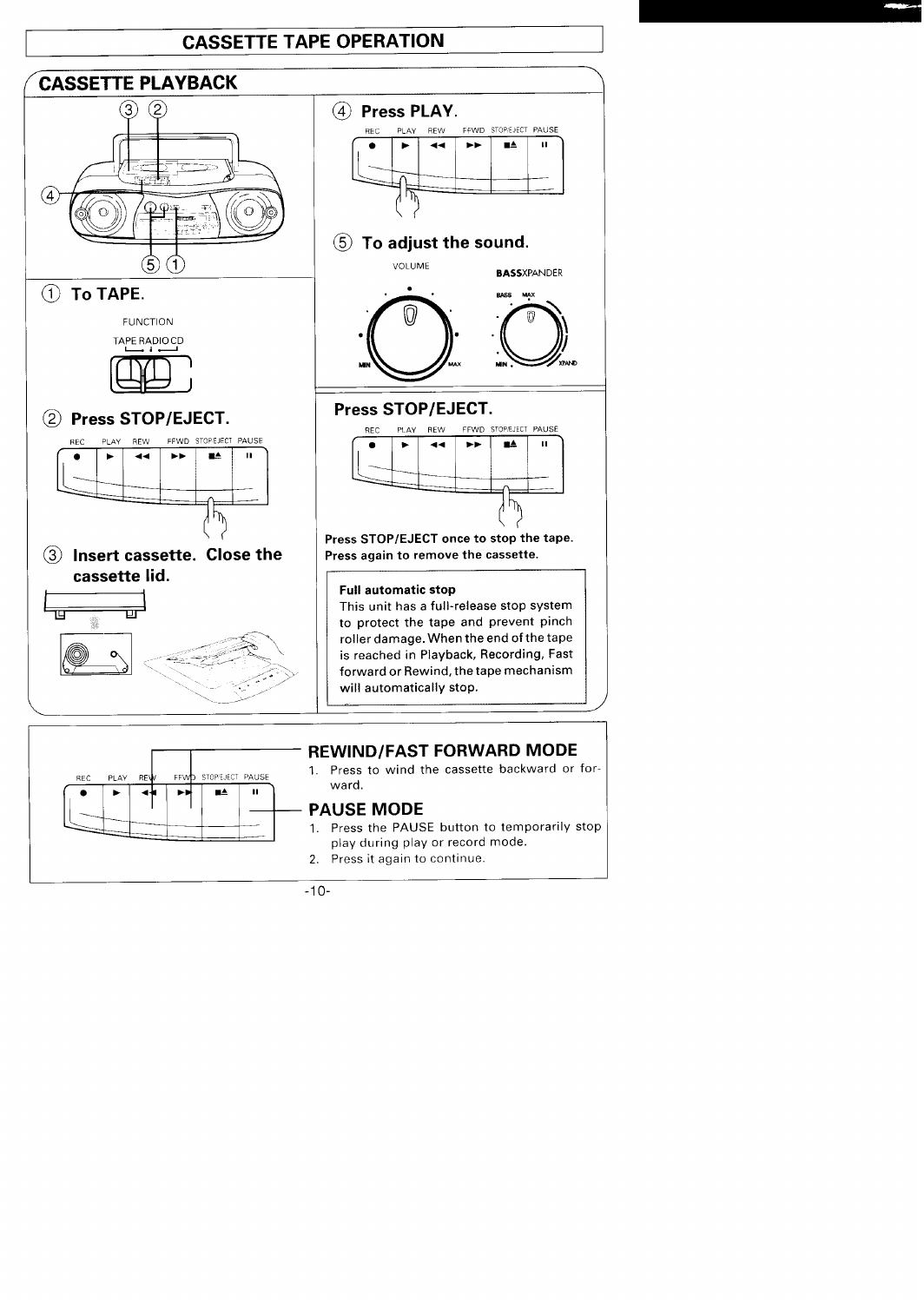## **CASSETTE TAPE OPERATION**





## **REWIND/FAST FORWARD MODE**

1. Press to wind the cassette backward or for-

## **PAUSE MODE**

- 1. Press the PAUSE button to temporarily stop play during play or record mode.
- 2. Press it again to continue.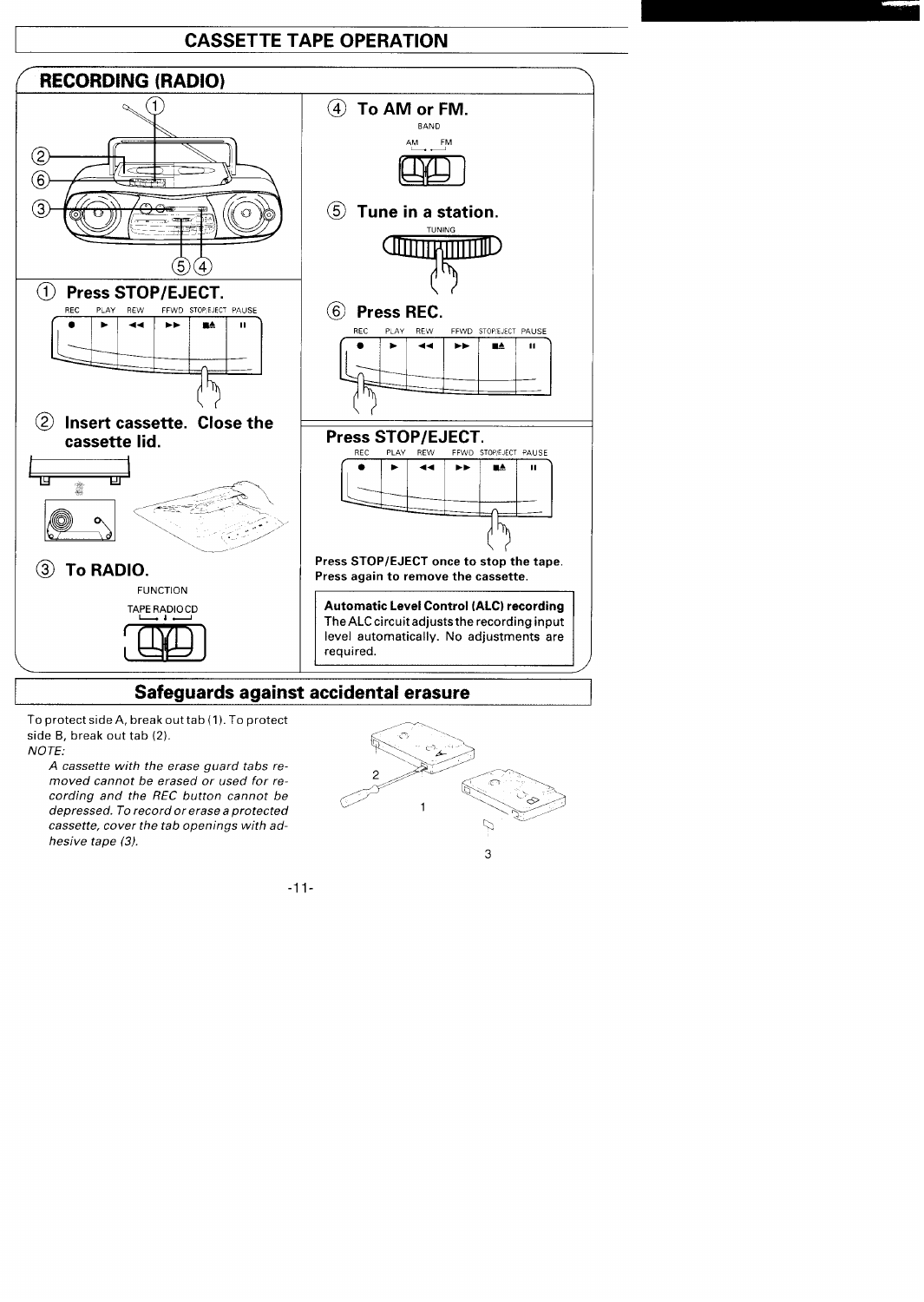## **CASSETTE TAPE OPERATION**



## **Safeguards against accidental erasure**

To protect side A, break out tab  $(1)$ . To protect side B, break out tab  $(2)$ .<br>*NOTE:* **NOTE: <> .&>**

I

**A cassette w;th the erase guard tabs re** $m$ oved cannot be erased or used for re**cording and the REC button cannot be depressed. To record or erase a protected cassette, cover the tab openings with ad hesive tape (3).**

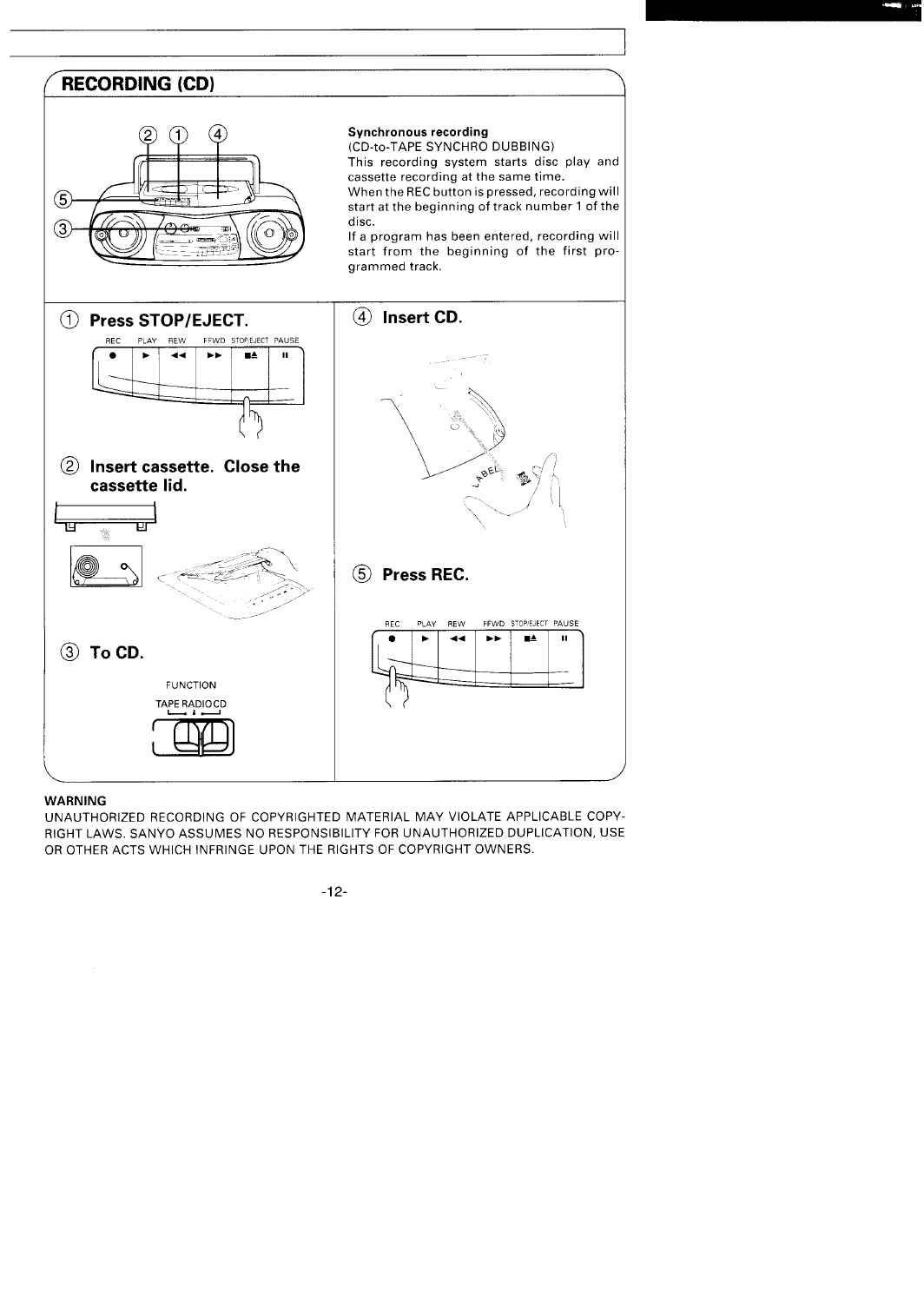### / \ **RECORDING (CD)**



### **Synchronous recording**

(CD-to-TAPE SYNCHRO DUBBING)

This recording system starts disc play and cassette recording at the same time.

When the RECbutton is pressed, recording will start at the beginning of track number 1 of the disc.

If a program has been entered, recording will start from the beginning of the first programmed track,



### **WARNING**

UNAUTHORIZED RECORDING OF COPYRIGHTED MATERIAL MAY VIOLATE APPLICABLE COPY-RIGHT LAWS. SANYO ASSUMES NO RESPONSIBILITY FOR UNAUTHORIZED DUPLICATION, USE OR OTHER ACTS WHICH INFRINGE UPON THE RIGHTS OF COPYRIGHT OWNERS.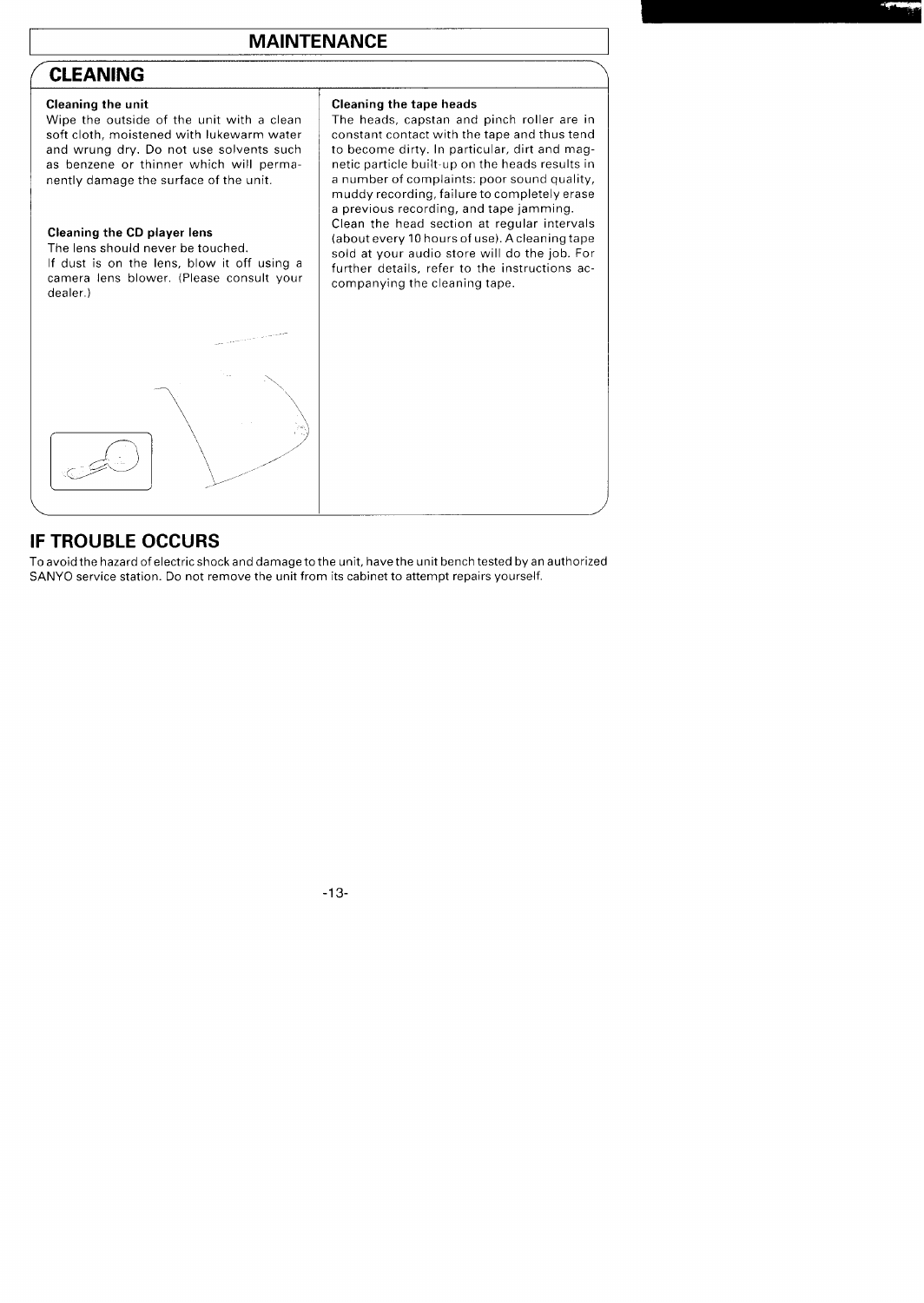## **CLEANING**

**,--**

nently damage the surface of the unit.

### Cleaning **the CD player lens**

The lens should never be touched. If dust is on the lens, blow it off using a camera lens blower. (Please consult your dealer. )

### **Cleaning the unit Cleaning the tape heads**

Wipe the outside of the unit with a clean  $\begin{array}{|l|l|}$  The heads, capstan and pinch roller are in soft cloth, moistened with lukewarm water  $\end{array}$  constant contact with the tape and thus tend constant contact with the tape and thus tend and wrung dry. Do not use solvents such  $\begin{array}{|l|l|}$  to become dirty. In particular, dirt and mag-<br>as benzene or thinner which will perma-<br>netic particle built-up on the heads results in netic particle built-up on the heads results in<br>a number of complaints: poor sound quality, muddy recording, failure to completely erase a previous recording, and tape jamming. Clean the head section at regular intervals (about every 10 hours of use). A cleaning tape sold at your audio store will do the job. For further details, refer to the instructions accompanying the cleaning tape.

**\**

,"

## **IF TROUBLE OCCURS**

 $\Box$ 

,&

Toavoidthe hazard ofelectric shock anddamagetothe unit, have the unit bench tested byanauthorized SANYO service station. Do not remove the unit from its cabinet to attempt repairs yourself.

)

, /'"

~ /"-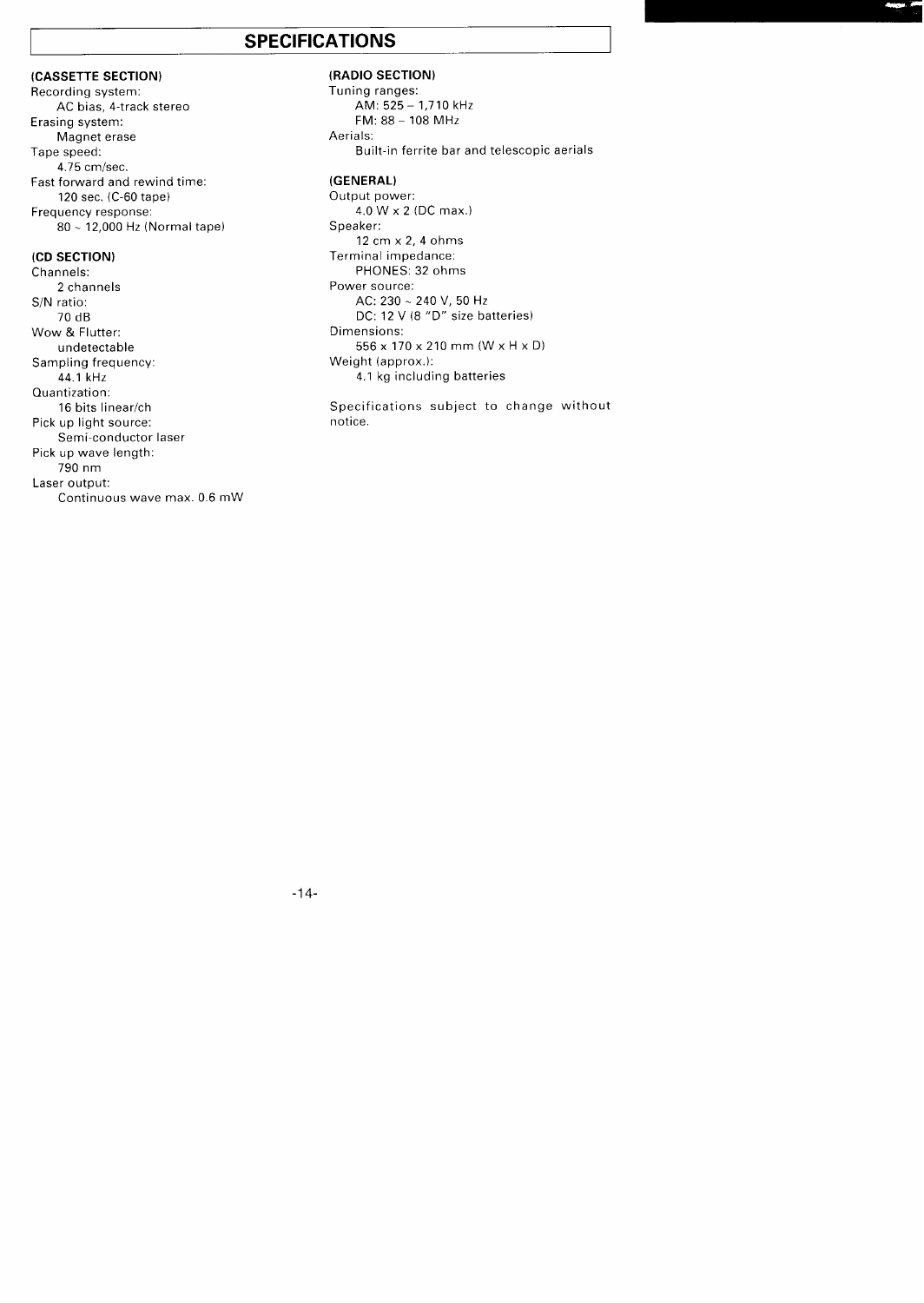## **SPECIFICATIONS**

### **(CASSETTE SECTION)**

**Recording system: AC bias,** 4-track stereo Erasing system: Magnet erase Tape speed: 4.75 cm/sec. Fast forward and rewind time: 120 sec. (C-60 tape) Frequency response: 80-- 12,000 Hz (Normal tape)

### **(CD SECTION)**

Channels: 2 channels S/N ratio: 70 dB Wow & Flutter: undetectable Sampling frequency: 44.1 kHz Cluantization: 16 bits linear/ch Pick up light source: Semi-conductor laser Pick up wave length: 790 nm Laser output: Continuous wave max. 0.6 mW

### **(RADIO SECTION)**

Tuning ranges: AM: 525 - 1,710 kHz FM:88-108 MHZ Aerials: Built-in ferrite bar and telescopic aerials **(GENERAL)**

**Output power: 4.0 Wx 2 (DC max. ) Speaker: 12cmx2,40hms Terminal impedance: PHONES: 32 ohms Power source: AC: 230-240 V, 50 tiz** DC: 12 V (8 "D" size batteries) Dimensions: 556x 170x 210mm(Wx HxD) Weight (approx.): 4.1 kg including batteries

Specifications subject to change without notice.